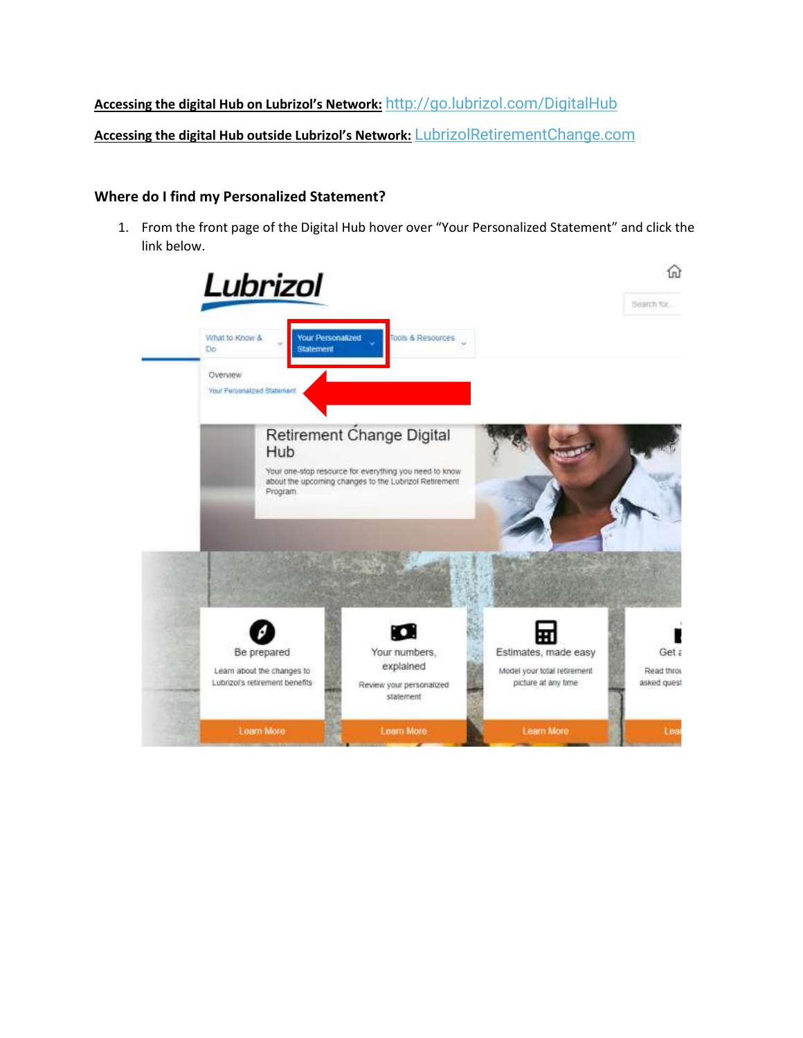# **Accessing the digital Hub on Lubrizol's Network:** <http://go.lubrizol.com/DigitalHub>

**Accessing the digital Hub outside Lubrizol's Network:** [LubrizolRetirementChange.com](https://urldefense.com/v3/__https:/lubrizol.us17.list-manage.com/track/click?u=e3b16c4f22ce0ff549464b505&id=5c68734c42&e=9da133b8c2__;!!JNMHBvMFenyP!s1INWMk0-T4y0R8s7wXHeuA_K8mlnwgNrRhn3swyuwAZ7CfS9cq0cX6K7PplMOSAXQ$)

## **Where do I find my Personalized Statement?**

1. From the front page of the Digital Hub hover over "Your Personalized Statement" and click the link below.

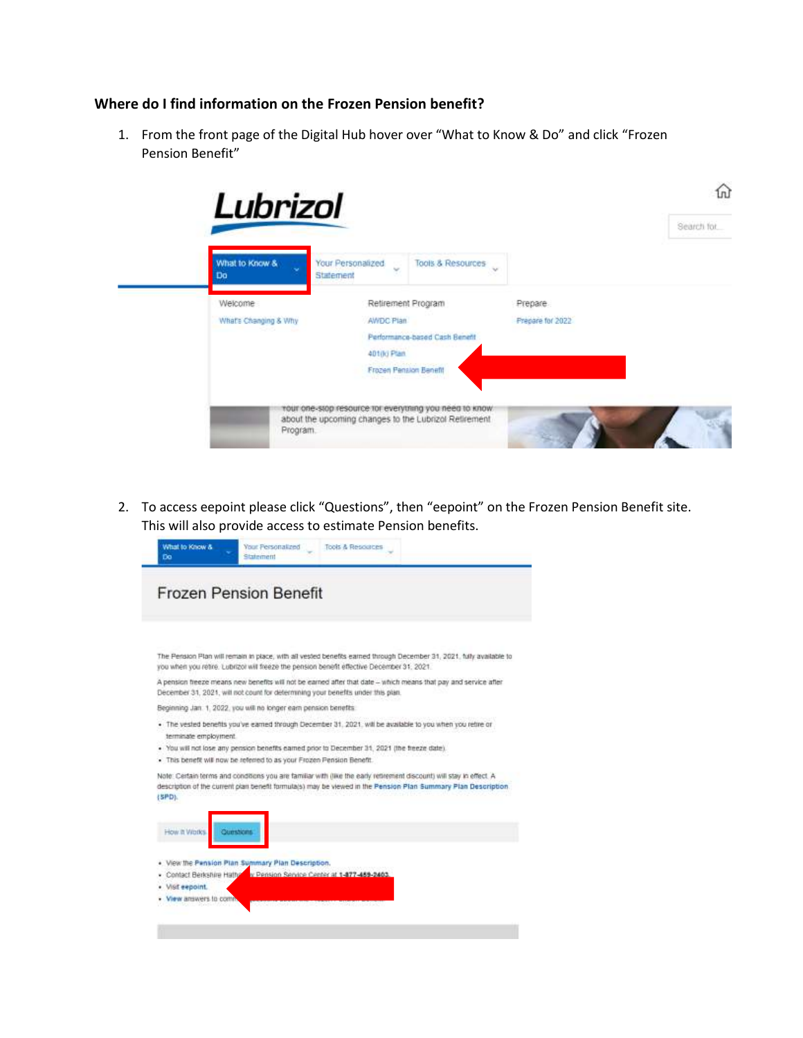### **Where do I find information on the Frozen Pension benefit?**

1. From the front page of the Digital Hub hover over "What to Know & Do" and click "Frozen Pension Benefit"



2. To access eepoint please click "Questions", then "eepoint" on the Frozen Pension Benefit site. This will also provide access to estimate Pension benefits.

| The Pension Plan will remain in place, with all vested benefits earned through December 31, 2021, fully available to<br>you when you retire. Lubrizor will freeze the pension benefit effective December 31, 2021.<br>. The vested benefits you've earned through December 31, 2021, will be available to you when you refire or<br>terminate employment.<br>. You will not lose any pension benefits earned prior to December 31, 2021 (the freeze date).<br>. This benefit will now be referred to as your Frozen Pension Benefit.<br>How it Works.<br><b>Oursticns</b><br>View the Pension Plan Summary Plan Description.<br>v Pension Service Center at 1-177-459-2403.<br>Contact Berkshire Hatho<br>Visit eepoint. | <b>Frozen Pension Benefit</b> |
|--------------------------------------------------------------------------------------------------------------------------------------------------------------------------------------------------------------------------------------------------------------------------------------------------------------------------------------------------------------------------------------------------------------------------------------------------------------------------------------------------------------------------------------------------------------------------------------------------------------------------------------------------------------------------------------------------------------------------|-------------------------------|
| A pension freeze means new benefits will not be earned after that date - which means that pay and service after<br>December 31, 2021, will not count for determining your benefits under this plan.                                                                                                                                                                                                                                                                                                                                                                                                                                                                                                                      |                               |
| Beginning Jan. 1, 2022, you will no longer earn pension benefits.<br>Note: Certain terms and conditions you are familiar with (like the early retirement discount) will stay in effect. A<br>description of the current plan benefit formula(s) may be viewed in the Pension Plan Summary Plan Description.<br>(SPD).                                                                                                                                                                                                                                                                                                                                                                                                    |                               |
|                                                                                                                                                                                                                                                                                                                                                                                                                                                                                                                                                                                                                                                                                                                          |                               |
|                                                                                                                                                                                                                                                                                                                                                                                                                                                                                                                                                                                                                                                                                                                          |                               |
|                                                                                                                                                                                                                                                                                                                                                                                                                                                                                                                                                                                                                                                                                                                          |                               |
|                                                                                                                                                                                                                                                                                                                                                                                                                                                                                                                                                                                                                                                                                                                          |                               |
|                                                                                                                                                                                                                                                                                                                                                                                                                                                                                                                                                                                                                                                                                                                          |                               |
|                                                                                                                                                                                                                                                                                                                                                                                                                                                                                                                                                                                                                                                                                                                          |                               |
|                                                                                                                                                                                                                                                                                                                                                                                                                                                                                                                                                                                                                                                                                                                          |                               |
|                                                                                                                                                                                                                                                                                                                                                                                                                                                                                                                                                                                                                                                                                                                          |                               |
|                                                                                                                                                                                                                                                                                                                                                                                                                                                                                                                                                                                                                                                                                                                          |                               |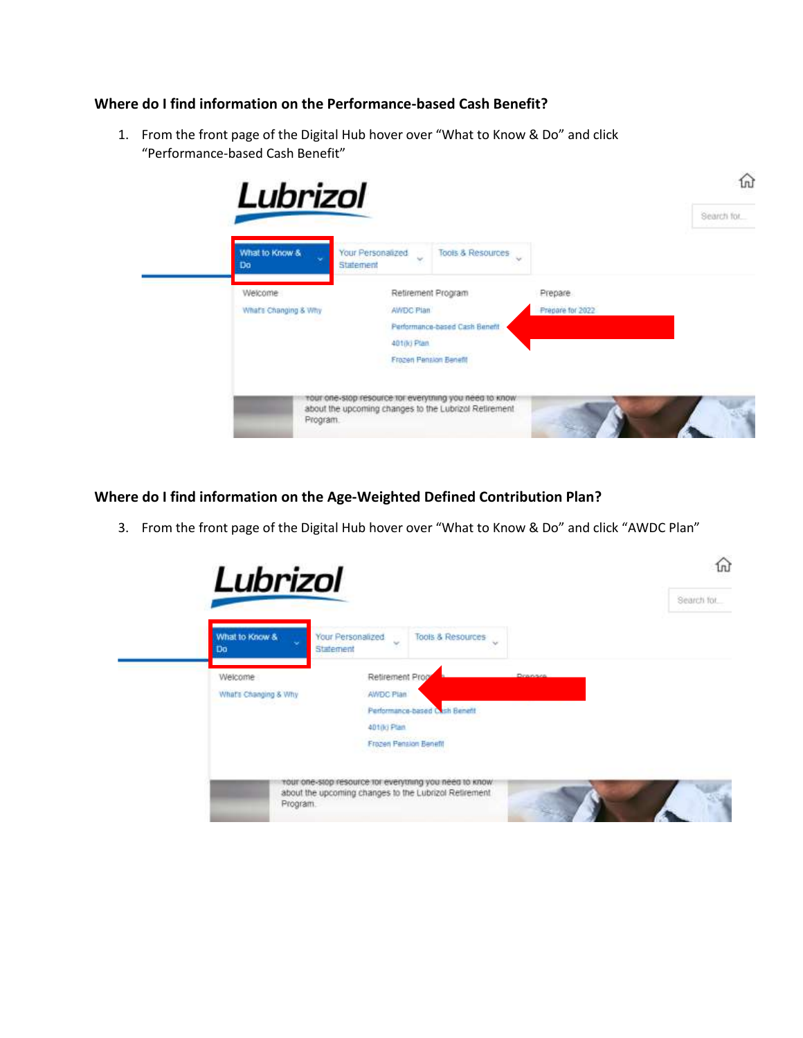## **Where do I find information on the Performance-based Cash Benefit?**

1. From the front page of the Digital Hub hover over "What to Know & Do" and click "Performance-based Cash Benefit"



**Where do I find information on the Age-Weighted Defined Contribution Plan?**

3. From the front page of the Digital Hub hover over "What to Know & Do" and click "AWDC Plan"

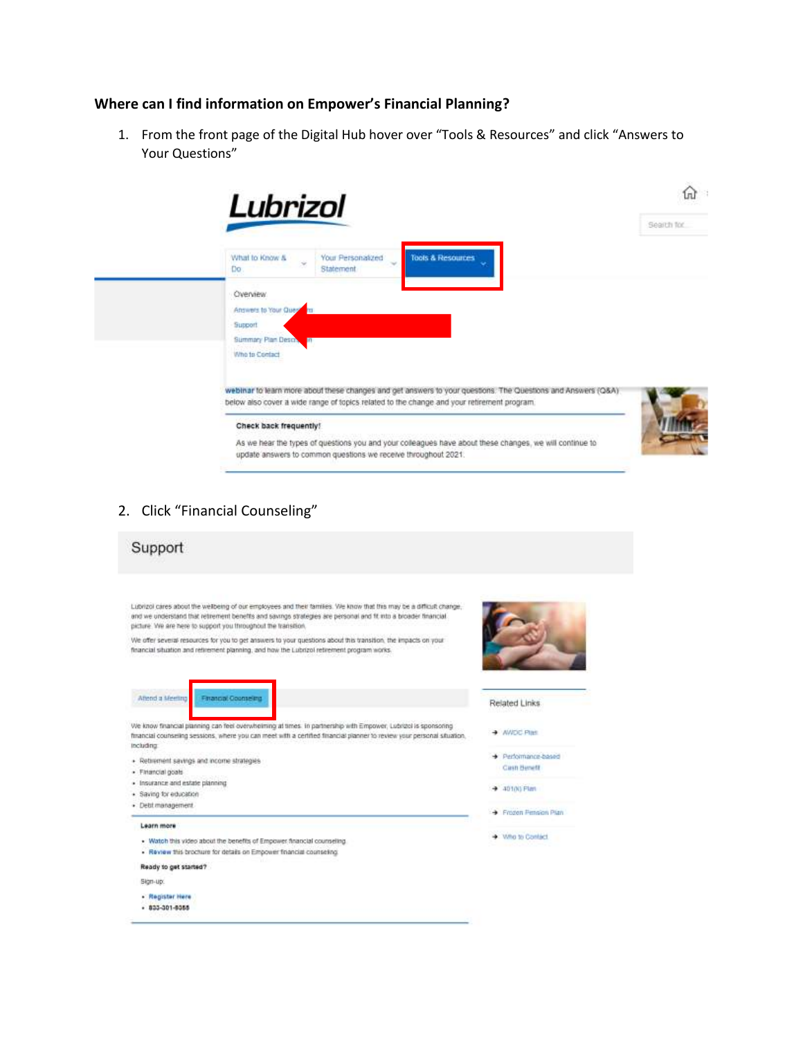#### **Where can I find information on Empower's Financial Planning?**

1. From the front page of the Digital Hub hover over "Tools & Resources" and click "Answers to Your Questions"



2. Click "Financial Counseling"

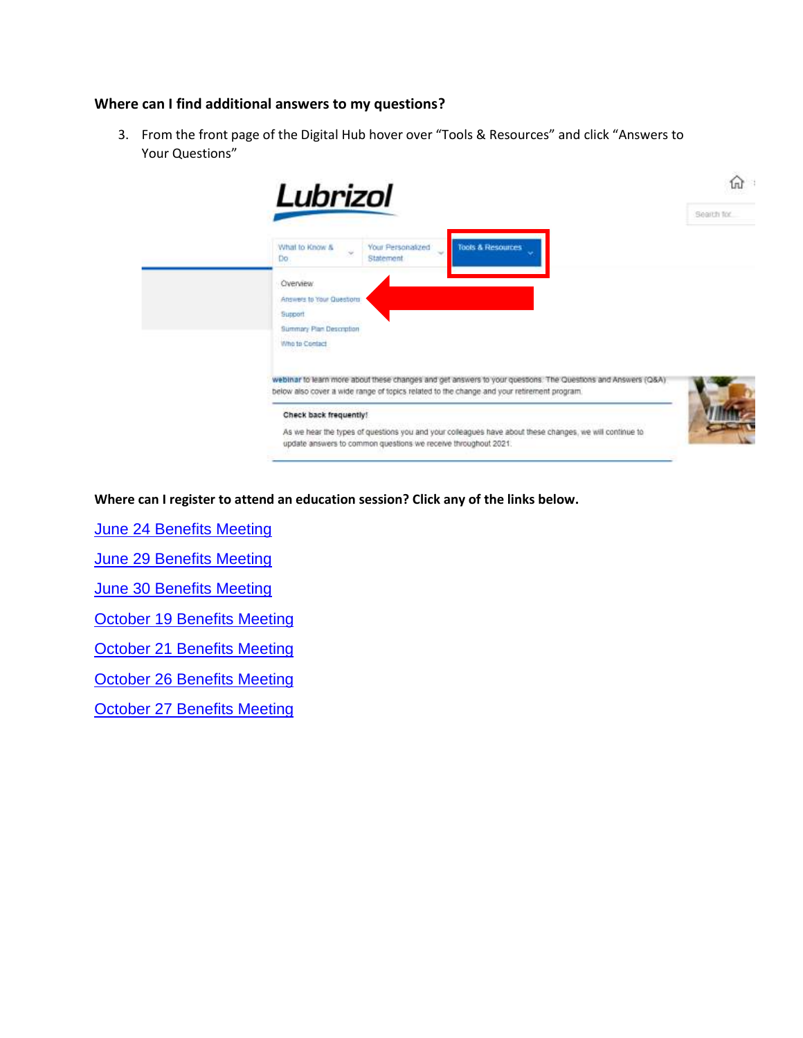## **Where can I find additional answers to my questions?**

3. From the front page of the Digital Hub hover over "Tools & Resources" and click "Answers to Your Questions"



**Where can I register to attend an education session? Click any of the links below.**

**[June 24 Benefits Meeting](https://gem.apps.lubrizol.com/calendar?eid=2999)** 

[June 29 Benefits Meeting](https://gem.apps.lubrizol.com/calendar?eid=3000)

[June 30 Benefits Meeting](https://gem.apps.lubrizol.com/calendar?eid=3001)

[October 19 Benefits Meeting](https://gem.apps.lubrizol.com/calendar?eid=3002)

[October 21 Benefits Meeting](https://gem.apps.lubrizol.com/calendar?eid=3003)

[October 26 Benefits Meeting](https://gem.apps.lubrizol.com/calendar?eid=3004)

[October 27 Benefits Meeting](https://gem.apps.lubrizol.com/calendar?eid=3005)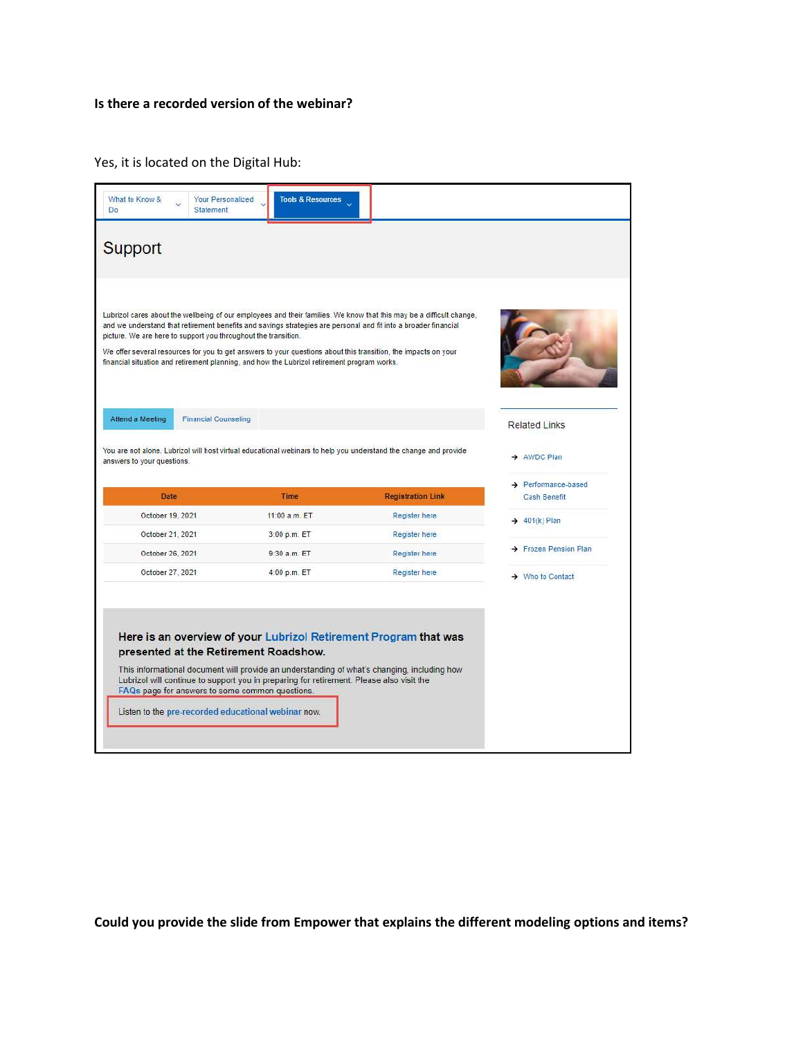## **Is there a recorded version of the webinar?**

Yes, it is located on the Digital Hub:

| <b>Support</b>                                                                                                                                                                                                                                                                                                                                                                 |               |                                                                                                                      |                                                        |
|--------------------------------------------------------------------------------------------------------------------------------------------------------------------------------------------------------------------------------------------------------------------------------------------------------------------------------------------------------------------------------|---------------|----------------------------------------------------------------------------------------------------------------------|--------------------------------------------------------|
| and we understand that retirement benefits and savings strategies are personal and fit into a broader financial<br>picture. We are here to support you throughout the transition.                                                                                                                                                                                              |               | Lubrizol cares about the wellbeing of our employees and their families. We know that this may be a difficult change, |                                                        |
| We offer several resources for you to get answers to your questions about this transition, the impacts on your<br>financial situation and retirement planning, and how the Lubrizol retirement program works.                                                                                                                                                                  |               |                                                                                                                      |                                                        |
|                                                                                                                                                                                                                                                                                                                                                                                |               |                                                                                                                      |                                                        |
| <b>Financial Counseling</b>                                                                                                                                                                                                                                                                                                                                                    |               |                                                                                                                      | <b>Related Links</b>                                   |
|                                                                                                                                                                                                                                                                                                                                                                                |               |                                                                                                                      | AWDC Plan                                              |
| <b>Date</b>                                                                                                                                                                                                                                                                                                                                                                    | <b>Time</b>   | <b>Registration Link</b>                                                                                             | $\rightarrow$ Performance-based<br><b>Cash Benefit</b> |
| October 19, 2021                                                                                                                                                                                                                                                                                                                                                               | 11:00 a.m. ET | Register here                                                                                                        |                                                        |
| October 21, 2021                                                                                                                                                                                                                                                                                                                                                               | 3:00 p.m. ET  | Register here                                                                                                        | $\rightarrow$ 401(k) Plan                              |
| October 26, 2021                                                                                                                                                                                                                                                                                                                                                               | 9:30 a.m. ET  | Register here                                                                                                        | > Frozen Pension Plan                                  |
| October 27, 2021                                                                                                                                                                                                                                                                                                                                                               | 4:00 p.m. ET  | Register here                                                                                                        | $\rightarrow$ Who to Contact                           |
|                                                                                                                                                                                                                                                                                                                                                                                |               |                                                                                                                      |                                                        |
|                                                                                                                                                                                                                                                                                                                                                                                |               |                                                                                                                      |                                                        |
|                                                                                                                                                                                                                                                                                                                                                                                |               |                                                                                                                      |                                                        |
| Attend a Meeting<br>You are not alone. Lubrizol will host virtual educational webinars to help you understand the change and provide<br>answers to your questions.<br>Here is an overview of your Lubrizol Retirement Program that was<br>presented at the Retirement Roadshow.<br>This informational document will provide an understanding of what's changing, including how |               |                                                                                                                      |                                                        |

**Could you provide the slide from Empower that explains the different modeling options and items?**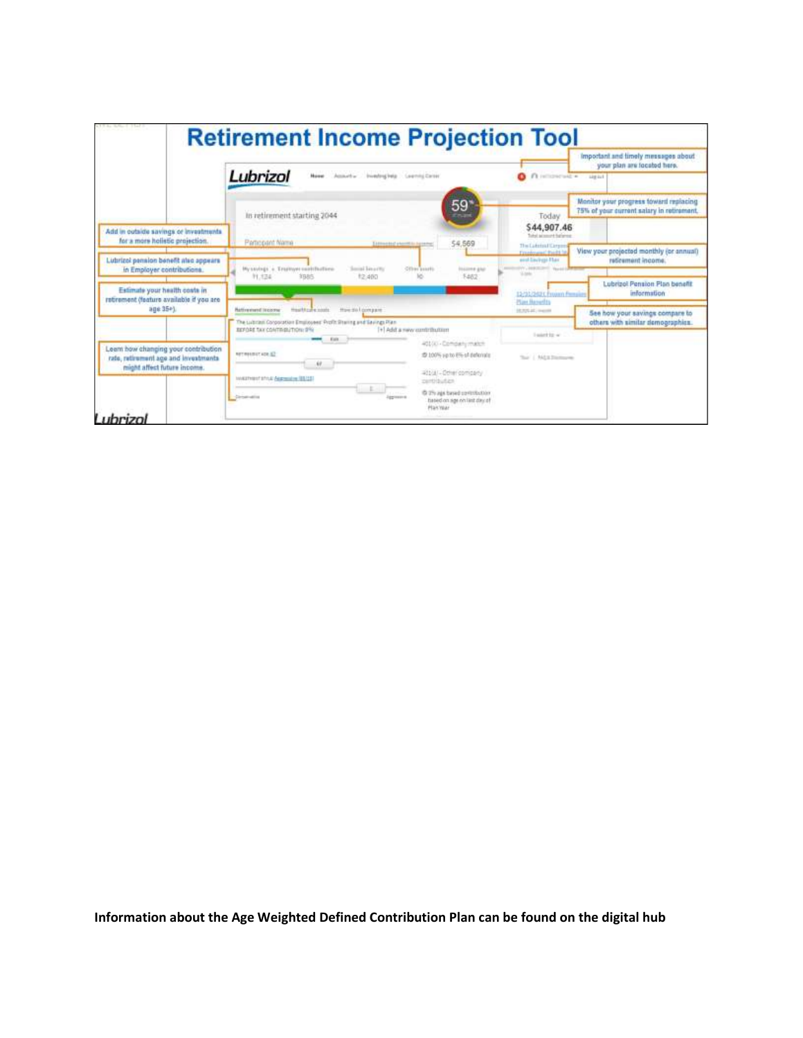|                                                                                                            | <b>Retirement Income Projection Tool</b>                                                                                                                |                                                                         |                                                                                |                                                                                     |  |
|------------------------------------------------------------------------------------------------------------|---------------------------------------------------------------------------------------------------------------------------------------------------------|-------------------------------------------------------------------------|--------------------------------------------------------------------------------|-------------------------------------------------------------------------------------|--|
|                                                                                                            |                                                                                                                                                         |                                                                         |                                                                                | Important and timely messages about<br>your plan are located here.                  |  |
|                                                                                                            | Lubrizol<br>New Assorts Instraled Lennisterer                                                                                                           |                                                                         | O interested .                                                                 | <b>Lite Iu1</b>                                                                     |  |
|                                                                                                            | In retirement starting 2044                                                                                                                             | 59 <sup>°</sup><br>Enan                                                 | Today                                                                          | Monitor your progress foward replacing<br>75% of your current salary in retirement. |  |
| Add in outside savings or investments<br>for a more holistic projection.                                   | Participant Name<br>Estimated phontifilis agreement                                                                                                     | 54,569                                                                  | \$44,907.46<br>Toked automore furnished<br>The Liderin Hillman                 |                                                                                     |  |
| Lubrizol pension benefit also spowars<br>in Employer contributions.                                        | Mystylegs's TrurityH contifictions<br>Social Linuxity                                                                                                   | Other points.<br><b>Insurer glob</b>                                    | <b>Freedmannel Reads to</b><br>and Earlingt Flax<br>IVV, DERIGHT ANNA<br>S.tek | View your projected monthly (or annual)<br>reforment income.                        |  |
| Estimate your health costs in<br>retrement (feature available if you are                                   | <b>ISBN</b><br>PL124<br>12,490                                                                                                                          | \$462                                                                   | 13-91-340 E Froam Firmaile<br>Plan Banadis                                     | Lubrizol Pension Plan benefit<br>information                                        |  |
| $30635 + 1$                                                                                                | Healthcare costs<br>How do I compare<br><b><i><u>Native event (Incorne</u></i></b><br>The Lubran Corporation Employees' Profit Sharing and Savings Plan |                                                                         | 10.70% at . nearest                                                            | See how your savings compare to<br>others with similar demographics.                |  |
|                                                                                                            | <b>REFORE TAX CONTINENTION: 0%</b><br>[+] Add a new curriculuition<br>Early.                                                                            | 40100 - Company match                                                   | lastificar.                                                                    |                                                                                     |  |
| Leam how changing your contribution<br>rate, retirement age and investments<br>might affect future income. | NETWORKSTACK-12<br>warnership departs (6123)                                                                                                            | 10 100% via to 6% of defensive<br>401/4/ - Other company<br>pertitudes. | That I Add a fraction on                                                       |                                                                                     |  |
|                                                                                                            | -Drive-allie<br>lagression                                                                                                                              | @ 2% ags based contribution<br>fased on age on last day of<br>Plan Year |                                                                                |                                                                                     |  |

**Information about the Age Weighted Defined Contribution Plan can be found on the digital hub**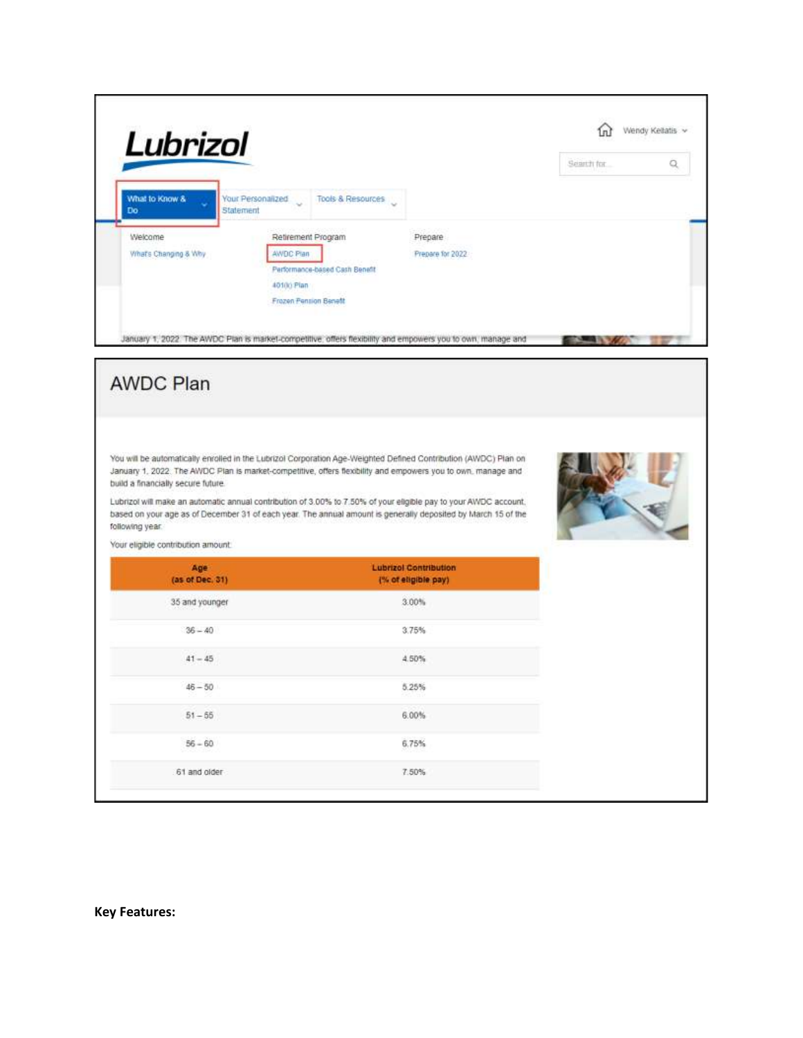| Lubrizol                                                                                                 |                                                                                                                                                                                                                                   |                              | m           | Wendy Kellatis ~ |
|----------------------------------------------------------------------------------------------------------|-----------------------------------------------------------------------------------------------------------------------------------------------------------------------------------------------------------------------------------|------------------------------|-------------|------------------|
|                                                                                                          |                                                                                                                                                                                                                                   |                              | Seineth for | Q                |
| What to Know &<br>Do<br>Statement                                                                        | Your Personalized<br>Tools & Resources                                                                                                                                                                                            |                              |             |                  |
| Welcome<br>What's Changing & Why                                                                         | Retirement Program<br>AWDC Plan<br>Performance-based Cash Benefit<br>40100 Plan<br>Frazen Pension Benefit                                                                                                                         | Prepare<br>Prepare for 2022  |             |                  |
| <b>AWDC Plan</b>                                                                                         | January 1, 2022 The AWDC Plan is market-competitive, offers flexibility and empowers you to own, manage and                                                                                                                       |                              |             |                  |
|                                                                                                          | You will be automatically enrolled in the Lubrizol Corporation Age-Weighted Defined Contribution (AWDC) Plan on<br>January 1, 2022. The AWDC Plan is market-competitive, offers flexibility and empowers you to own, manage and   |                              |             |                  |
|                                                                                                          | Lubrizol will make an automatic annual contribution of 3.00% to 7.50% of your eligible pay to your AWDC account.<br>based on your age as of December 31 of each year. The annual amount is generally deposited by March 15 of the |                              |             |                  |
| Age                                                                                                      |                                                                                                                                                                                                                                   | <b>Lubrizol Contribution</b> |             |                  |
| (as of Dec. 31)<br>35 and younger                                                                        |                                                                                                                                                                                                                                   | (% of eligible pay)<br>3.00% |             |                  |
| $36 - 40$                                                                                                |                                                                                                                                                                                                                                   | 3.75%                        |             |                  |
| $41 - 45$                                                                                                |                                                                                                                                                                                                                                   | 4.50%                        |             |                  |
| $46 - 50$                                                                                                |                                                                                                                                                                                                                                   | 5.25%                        |             |                  |
| $51 - 55$                                                                                                |                                                                                                                                                                                                                                   | 6.00%                        |             |                  |
| build a financially secure future.<br>following year.<br>Your eligible contribution amount.<br>$56 - 60$ |                                                                                                                                                                                                                                   | 6.75%                        |             |                  |

**Key Features:**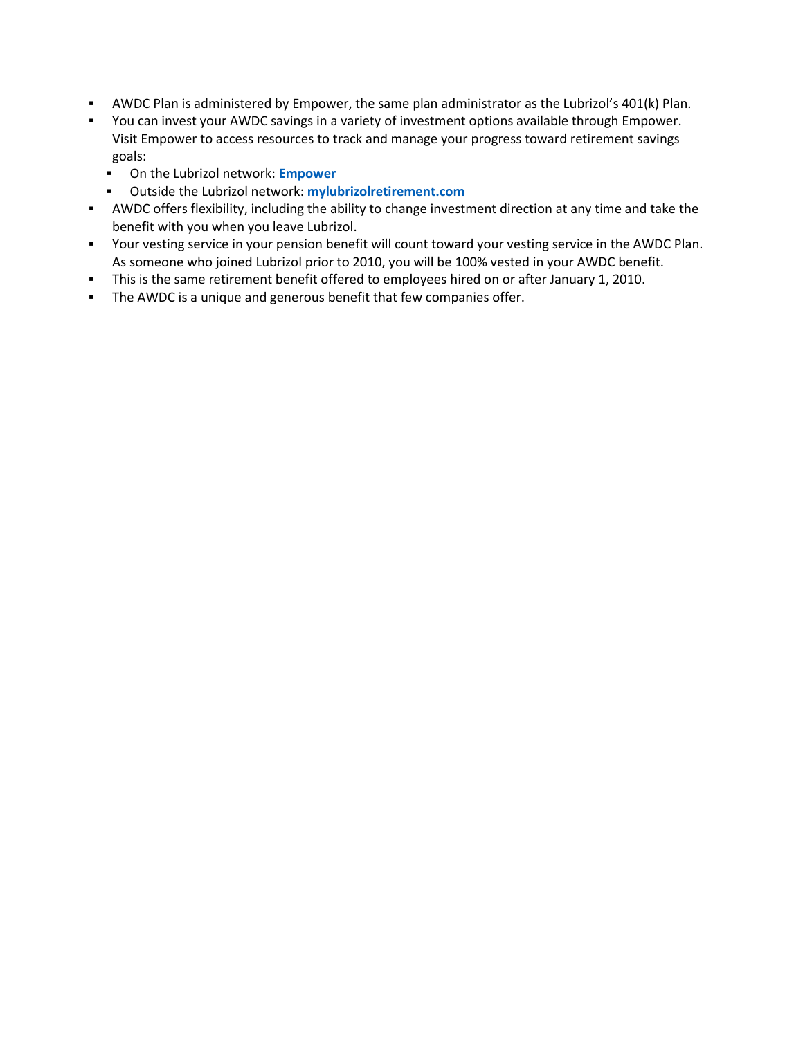- AWDC Plan is administered by Empower, the same plan administrator as the Lubrizol's 401(k) Plan.
- You can invest your AWDC savings in a variety of investment options available through Empower. Visit Empower to access resources to track and manage your progress toward retirement savings goals:
	- On the Lubrizol network: **[Empower](https://urldefense.proofpoint.com/v2/url?u=http-3A__go.lubrizol.com_US401K&d=DwMGaQ&c=3NBXXUKukgVIjVXwt0Rin6h0GAxIKZespWWvcJx4w9c&r=eXvWGnX9THjMNVYKRZhAYZYni7ZOwRshMq6Uf4_BO7TjOcQkbl7gfYg5xtZW8ebE&m=UqQ0dGfE9D7YUj3cz3KxW8fKdNJx1zhipeHElq9k5sk&s=AHlZiyyMp6MaYG00AbtjZdAE56nlOs4hSe_HaVGzsNE&e=)**
	- Outside the Lubrizol network: **[mylubrizolretirement.com](http://mylubrizolretirement.com/)**
- AWDC offers flexibility, including the ability to change investment direction at any time and take the benefit with you when you leave Lubrizol.
- Your vesting service in your pension benefit will count toward your vesting service in the AWDC Plan. As someone who joined Lubrizol prior to 2010, you will be 100% vested in your AWDC benefit.
- This is the same retirement benefit offered to employees hired on or after January 1, 2010.
- **EXECT** The AWDC is a unique and generous benefit that few companies offer.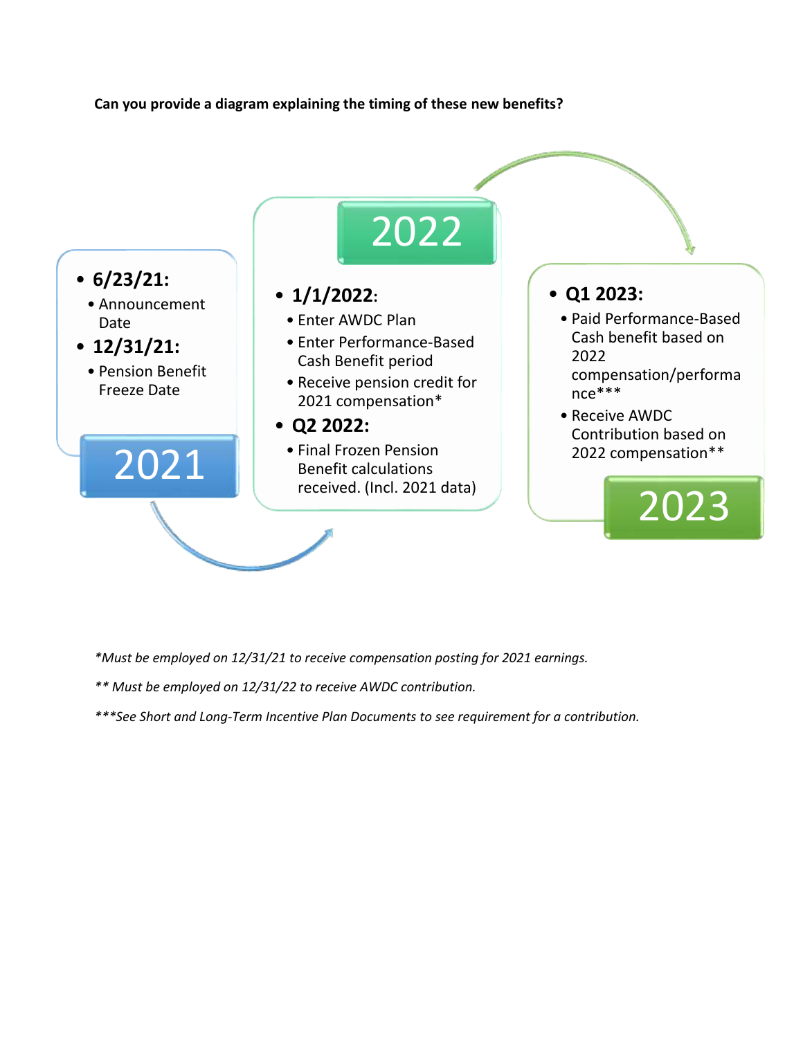## **Can you provide a diagram explaining the timing of these new benefits?**



*\*Must be employed on 12/31/21 to receive compensation posting for 2021 earnings.*

*\*\* Must be employed on 12/31/22 to receive AWDC contribution.*

*\*\*\*See Short and Long-Term Incentive Plan Documents to see requirement for a contribution.*